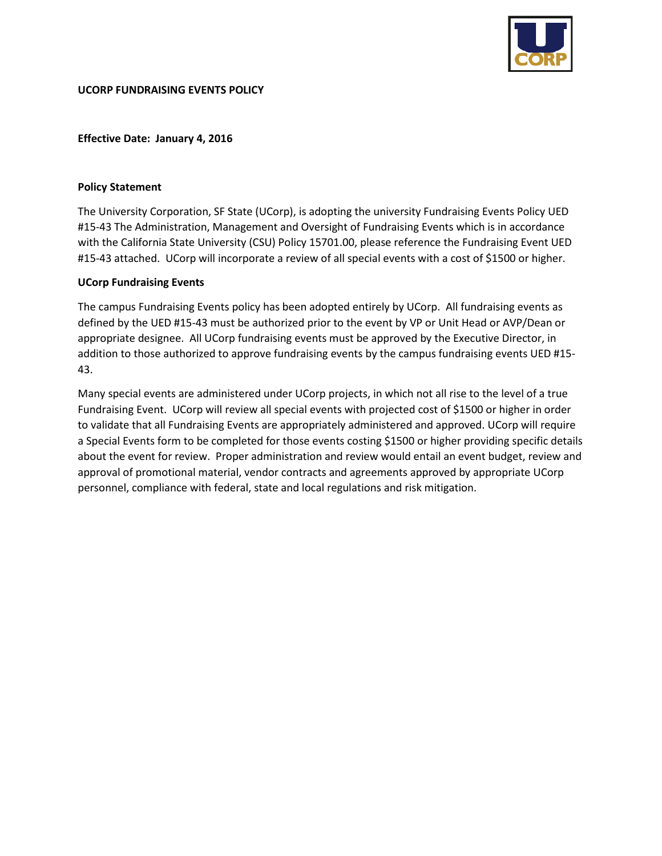

## **Effective Date: January 4, 2016**

### **Policy Statement**

The University Corporation, SF State (UCorp), is adopting the university Fundraising Events Policy UED #15-43 The Administration, Management and Oversight of Fundraising Events which is in accordance with the California State University (CSU) Policy 15701.00, please reference the Fundraising Event UED #15-43 attached. UCorp will incorporate a review of all special events with a cost of \$1500 or higher.

## **UCorp Fundraising Events**

The campus Fundraising Events policy has been adopted entirely by UCorp. All fundraising events as defined by the UED #15-43 must be authorized prior to the event by VP or Unit Head or AVP/Dean or appropriate designee. All UCorp fundraising events must be approved by the Executive Director, in addition to those authorized to approve fundraising events by the campus fundraising events UED #15- 43.

Many special events are administered under UCorp projects, in which not all rise to the level of a true Fundraising Event. UCorp will review all special events with projected cost of \$1500 or higher in order to validate that all Fundraising Events are appropriately administered and approved. UCorp will require a Special Events form to be completed for those events costing \$1500 or higher providing specific details about the event for review. Proper administration and review would entail an event budget, review and approval of promotional material, vendor contracts and agreements approved by appropriate UCorp personnel, compliance with federal, state and local regulations and risk mitigation.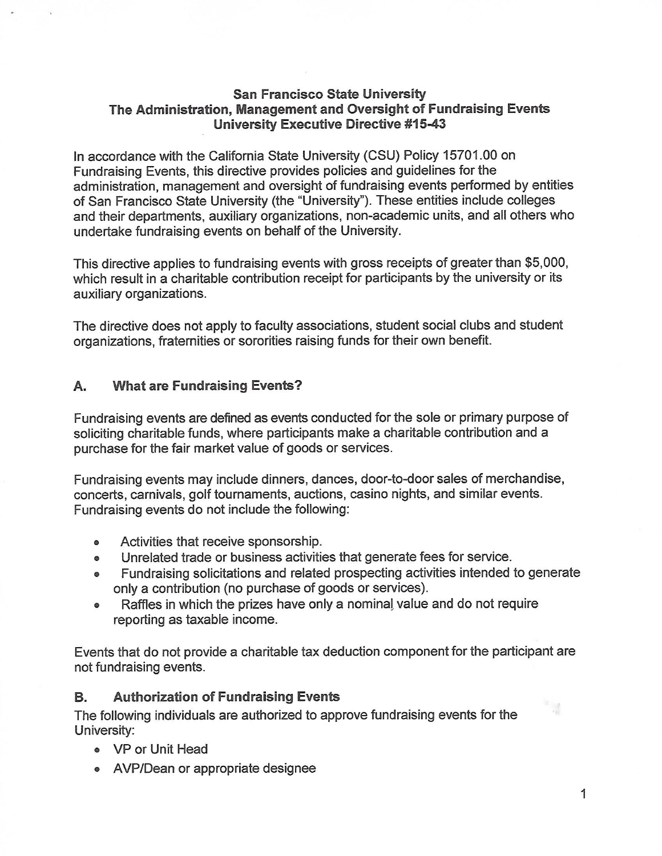# **San Francisco State University** The Administration, Management and Oversight of Fundraising Events **University Executive Directive #15-43**

In accordance with the California State University (CSU) Policy 15701.00 on Fundraising Events, this directive provides policies and quidelines for the administration, management and oversight of fundraising events performed by entities of San Francisco State University (the "University"). These entities include colleges and their departments, auxiliary organizations, non-academic units, and all others who undertake fundraising events on behalf of the University.

This directive applies to fundraising events with gross receipts of greater than \$5,000, which result in a charitable contribution receipt for participants by the university or its auxiliary organizations.

The directive does not apply to faculty associations, student social clubs and student organizations, fraternities or sororities raising funds for their own benefit.

#### A. **What are Fundraising Events?**

Fundraising events are defined as events conducted for the sole or primary purpose of soliciting charitable funds, where participants make a charitable contribution and a purchase for the fair market value of goods or services.

Fundraising events may include dinners, dances, door-to-door sales of merchandise, concerts, carnivals, golf tournaments, auctions, casino nights, and similar events. Fundraising events do not include the following:

- Activities that receive sponsorship.
- Unrelated trade or business activities that generate fees for service.  $\bullet$
- Fundraising solicitations and related prospecting activities intended to generate only a contribution (no purchase of goods or services).
- Raffles in which the prizes have only a nominal value and do not require  $\bullet$ reporting as taxable income.

Events that do not provide a charitable tax deduction component for the participant are not fundraising events.

#### **Authorization of Fundraising Events** Β.

The following individuals are authorized to approve fundraising events for the University:

- VP or Unit Head
- AVP/Dean or appropriate designee